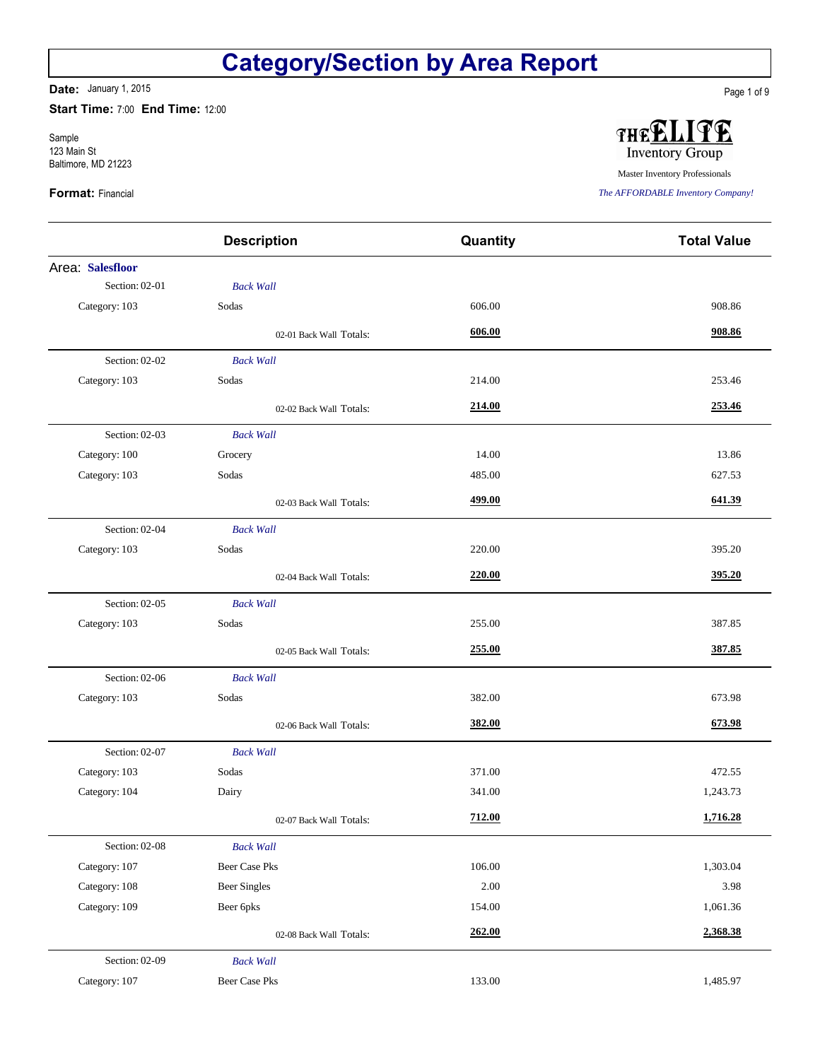**Date:** January 1, 2015

**Start Time:** 7:00 **End Time:** 12:00

Sample 123 Main St Baltimore, MD 21223

#### **Format:** Financial

|                  | <b>Description</b>      | Quantity | <b>Total Value</b> |
|------------------|-------------------------|----------|--------------------|
| Area: Salesfloor |                         |          |                    |
| Section: 02-01   | <b>Back Wall</b>        |          |                    |
| Category: 103    | Sodas                   | 606.00   | 908.86             |
|                  | 02-01 Back Wall Totals: | 606.00   | 908.86             |
| Section: 02-02   | <b>Back Wall</b>        |          |                    |
| Category: 103    | Sodas                   | 214.00   | 253.46             |
|                  | 02-02 Back Wall Totals: | 214.00   | 253.46             |
| Section: 02-03   | <b>Back Wall</b>        |          |                    |
| Category: 100    | Grocery                 | 14.00    | 13.86              |
| Category: 103    | Sodas                   | 485.00   | 627.53             |
|                  | 02-03 Back Wall Totals: | 499.00   | 641.39             |
| Section: 02-04   | <b>Back Wall</b>        |          |                    |
| Category: 103    | Sodas                   | 220.00   | 395.20             |
|                  | 02-04 Back Wall Totals: | 220.00   | 395.20             |
| Section: 02-05   | <b>Back Wall</b>        |          |                    |
| Category: 103    | Sodas                   | 255.00   | 387.85             |
|                  | 02-05 Back Wall Totals: | 255.00   | 387.85             |
| Section: 02-06   | <b>Back Wall</b>        |          |                    |
| Category: 103    | Sodas                   | 382.00   | 673.98             |
|                  | 02-06 Back Wall Totals: | 382.00   | 673.98             |
| Section: 02-07   | <b>Back Wall</b>        |          |                    |
| Category: 103    | Sodas                   | 371.00   | 472.55             |
| Category: 104    | Dairy                   | 341.00   | 1,243.73           |
|                  | 02-07 Back Wall Totals: | 712.00   | 1,716.28           |
| Section: 02-08   | <b>Back Wall</b>        |          |                    |
| Category: 107    | <b>Beer Case Pks</b>    | 106.00   | 1,303.04           |
| Category: 108    | <b>Beer Singles</b>     | 2.00     | 3.98               |
| Category: 109    | Beer 6pks               | 154.00   | 1,061.36           |
|                  | 02-08 Back Wall Totals: | 262.00   | 2,368.38           |
| Section: 02-09   | <b>Back Wall</b>        |          |                    |
| Category: 107    | <b>Beer Case Pks</b>    | 133.00   | 1,485.97           |



FE THEE **Inventory Group** 

Master Inventory Professionals

*The AFFORDABLE Inventory Company!*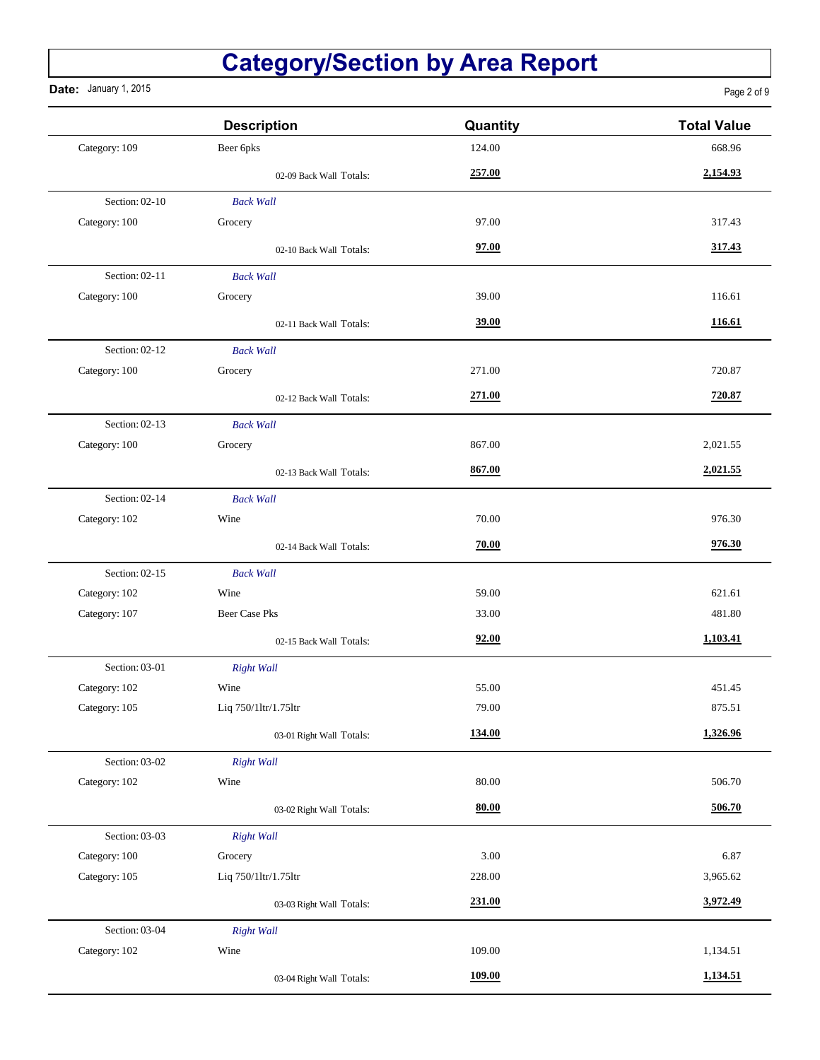**Date:** January 1, 2015

Page 2 of 9

|                | <b>Description</b>       | Quantity | <b>Total Value</b> |
|----------------|--------------------------|----------|--------------------|
| Category: 109  | Beer 6pks                | 124.00   | 668.96             |
|                | 02-09 Back Wall Totals:  | 257.00   | 2,154.93           |
| Section: 02-10 | <b>Back Wall</b>         |          |                    |
| Category: 100  | Grocery                  | 97.00    | 317.43             |
|                | 02-10 Back Wall Totals:  | 97.00    | 317.43             |
| Section: 02-11 | <b>Back Wall</b>         |          |                    |
| Category: 100  | Grocery                  | 39.00    | 116.61             |
|                | 02-11 Back Wall Totals:  | 39.00    | 116.61             |
| Section: 02-12 | <b>Back Wall</b>         |          |                    |
| Category: 100  | Grocery                  | 271.00   | 720.87             |
|                | 02-12 Back Wall Totals:  | 271.00   | 720.87             |
| Section: 02-13 | <b>Back Wall</b>         |          |                    |
| Category: 100  | Grocery                  | 867.00   | 2,021.55           |
|                | 02-13 Back Wall Totals:  | 867.00   | 2,021.55           |
| Section: 02-14 | <b>Back Wall</b>         |          |                    |
| Category: 102  | Wine                     | 70.00    | 976.30             |
|                | 02-14 Back Wall Totals:  | 70.00    | 976.30             |
| Section: 02-15 | <b>Back Wall</b>         |          |                    |
| Category: 102  | Wine                     | 59.00    | 621.61             |
| Category: 107  | <b>Beer Case Pks</b>     | 33.00    | 481.80             |
|                | 02-15 Back Wall Totals:  | 92.00    | 1,103.41           |
| Section: 03-01 | <b>Right Wall</b>        |          |                    |
| Category: 102  | Wine                     | 55.00    | 451.45             |
| Category: 105  | Liq 750/1ltr/1.75ltr     | 79.00    | 875.51             |
|                | 03-01 Right Wall Totals: | 134.00   | 1,326.96           |
| Section: 03-02 | <b>Right Wall</b>        |          |                    |
| Category: 102  | Wine                     | 80.00    | 506.70             |
|                | 03-02 Right Wall Totals: | 80.00    | 506.70             |
| Section: 03-03 | <b>Right Wall</b>        |          |                    |
| Category: 100  | Grocery                  | 3.00     | 6.87               |
| Category: 105  | Liq 750/1ltr/1.75ltr     | 228.00   | 3,965.62           |
|                | 03-03 Right Wall Totals: | 231.00   | 3,972.49           |
| Section: 03-04 | <b>Right Wall</b>        |          |                    |
| Category: 102  | Wine                     | 109.00   | 1,134.51           |
|                | 03-04 Right Wall Totals: | 109.00   | 1,134.51           |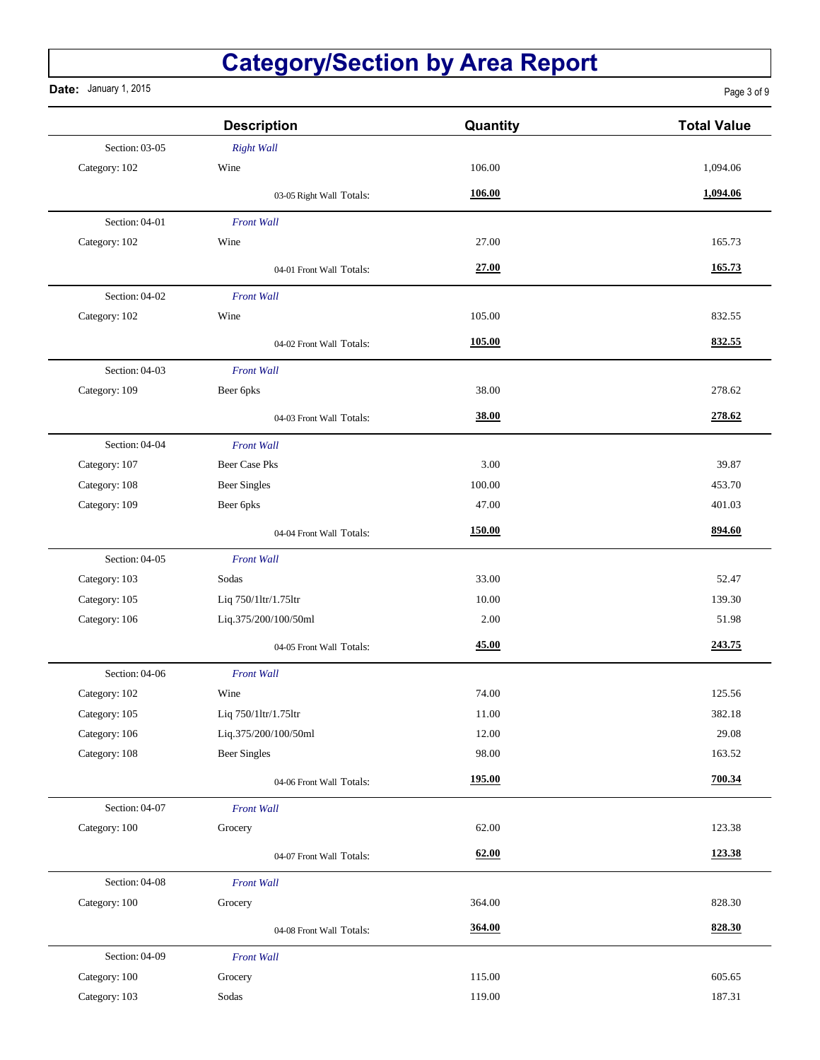**Date:** January 1, 2015

Page 3 of 9

|                | <b>Description</b>       | Quantity | <b>Total Value</b> |
|----------------|--------------------------|----------|--------------------|
| Section: 03-05 | <b>Right Wall</b>        |          |                    |
| Category: 102  | Wine                     | 106.00   | 1,094.06           |
|                | 03-05 Right Wall Totals: | 106.00   | 1,094.06           |
| Section: 04-01 | <b>Front Wall</b>        |          |                    |
| Category: 102  | Wine                     | 27.00    | 165.73             |
|                | 04-01 Front Wall Totals: | 27.00    | 165.73             |
| Section: 04-02 | <b>Front Wall</b>        |          |                    |
| Category: 102  | Wine                     | 105.00   | 832.55             |
|                | 04-02 Front Wall Totals: | 105.00   | 832.55             |
| Section: 04-03 | <b>Front Wall</b>        |          |                    |
| Category: 109  | Beer 6pks                | 38.00    | 278.62             |
|                | 04-03 Front Wall Totals: | 38.00    | 278.62             |
| Section: 04-04 | <b>Front Wall</b>        |          |                    |
| Category: 107  | <b>Beer Case Pks</b>     | 3.00     | 39.87              |
| Category: 108  | <b>Beer Singles</b>      | 100.00   | 453.70             |
| Category: 109  | Beer 6pks                | 47.00    | 401.03             |
|                | 04-04 Front Wall Totals: | 150.00   | 894.60             |
| Section: 04-05 | <b>Front Wall</b>        |          |                    |
| Category: 103  | Sodas                    | 33.00    | 52.47              |
| Category: 105  | Liq 750/1ltr/1.75ltr     | 10.00    | 139.30             |
| Category: 106  | Liq.375/200/100/50ml     | 2.00     | 51.98              |
|                | 04-05 Front Wall Totals: | 45.00    | 243.75             |
| Section: 04-06 | <b>Front Wall</b>        |          |                    |
| Category: 102  | Wine                     | 74.00    | 125.56             |
| Category: 105  | Liq 750/1ltr/1.75ltr     | 11.00    | 382.18             |
| Category: 106  | Liq.375/200/100/50ml     | 12.00    | 29.08              |
| Category: 108  | <b>Beer Singles</b>      | 98.00    | 163.52             |
|                | 04-06 Front Wall Totals: | 195.00   | 700.34             |
| Section: 04-07 | <b>Front Wall</b>        |          |                    |
| Category: 100  | Grocery                  | 62.00    | 123.38             |
|                | 04-07 Front Wall Totals: | 62.00    | 123.38             |
| Section: 04-08 | <b>Front Wall</b>        |          |                    |
| Category: 100  | Grocery                  | 364.00   | 828.30             |
|                | 04-08 Front Wall Totals: | 364.00   | 828.30             |
| Section: 04-09 | <b>Front Wall</b>        |          |                    |
| Category: 100  | Grocery                  | 115.00   | 605.65             |
| Category: 103  | Sodas                    | 119.00   | 187.31             |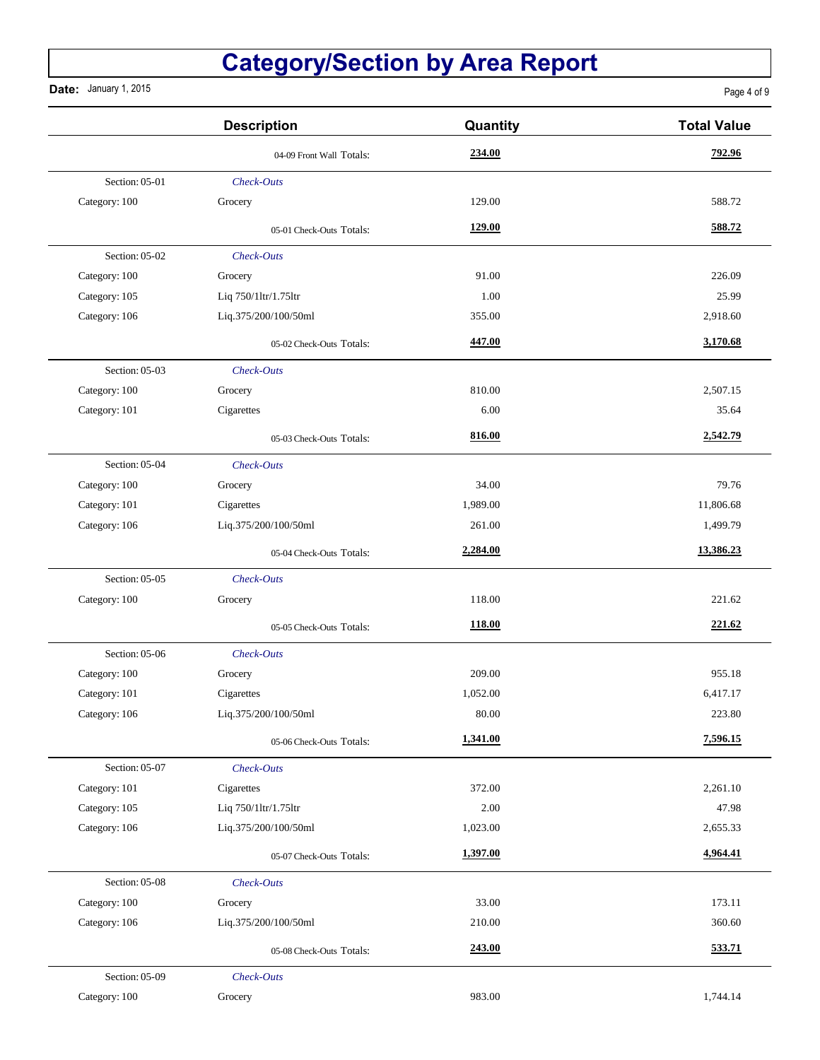**Date:** January 1, 2015

Page 4 of 9

|                | <b>Description</b>       | Quantity | <b>Total Value</b> |
|----------------|--------------------------|----------|--------------------|
|                | 04-09 Front Wall Totals: | 234.00   | 792.96             |
| Section: 05-01 | Check-Outs               |          |                    |
| Category: 100  | Grocery                  | 129.00   | 588.72             |
|                | 05-01 Check-Outs Totals: | 129.00   | 588.72             |
| Section: 05-02 | Check-Outs               |          |                    |
| Category: 100  | Grocery                  | 91.00    | 226.09             |
| Category: 105  | Liq 750/1ltr/1.75ltr     | 1.00     | 25.99              |
| Category: 106  | Liq.375/200/100/50ml     | 355.00   | 2,918.60           |
|                | 05-02 Check-Outs Totals: | 447.00   | 3,170.68           |
| Section: 05-03 | Check-Outs               |          |                    |
| Category: 100  | Grocery                  | 810.00   | 2,507.15           |
| Category: 101  | Cigarettes               | 6.00     | 35.64              |
|                | 05-03 Check-Outs Totals: | 816.00   | 2,542.79           |
| Section: 05-04 | Check-Outs               |          |                    |
| Category: 100  | Grocery                  | 34.00    | 79.76              |
| Category: 101  | Cigarettes               | 1,989.00 | 11,806.68          |
| Category: 106  | Liq.375/200/100/50ml     | 261.00   | 1,499.79           |
|                | 05-04 Check-Outs Totals: | 2,284.00 | 13,386.23          |
| Section: 05-05 | Check-Outs               |          |                    |
| Category: 100  | Grocery                  | 118.00   | 221.62             |
|                | 05-05 Check-Outs Totals: | 118.00   | 221.62             |
| Section: 05-06 | Check-Outs               |          |                    |
| Category: 100  | Grocery                  | 209.00   | 955.18             |
| Category: 101  | Cigarettes               | 1,052.00 | 6,417.17           |
| Category: 106  | Liq.375/200/100/50ml     | 80.00    | 223.80             |
|                | 05-06 Check-Outs Totals: | 1,341.00 | 7,596.15           |
| Section: 05-07 | Check-Outs               |          |                    |
| Category: 101  | Cigarettes               | 372.00   | 2,261.10           |
| Category: 105  | Liq 750/1ltr/1.75ltr     | 2.00     | 47.98              |
| Category: 106  | Liq.375/200/100/50ml     | 1,023.00 | 2,655.33           |
|                | 05-07 Check-Outs Totals: | 1,397.00 | 4,964.41           |
| Section: 05-08 | Check-Outs               |          |                    |
| Category: 100  | Grocery                  | 33.00    | 173.11             |
| Category: 106  | Liq.375/200/100/50ml     | 210.00   | 360.60             |
|                | 05-08 Check-Outs Totals: | 243.00   | 533.71             |
| Section: 05-09 | Check-Outs               |          |                    |
| Category: 100  | Grocery                  | 983.00   | 1,744.14           |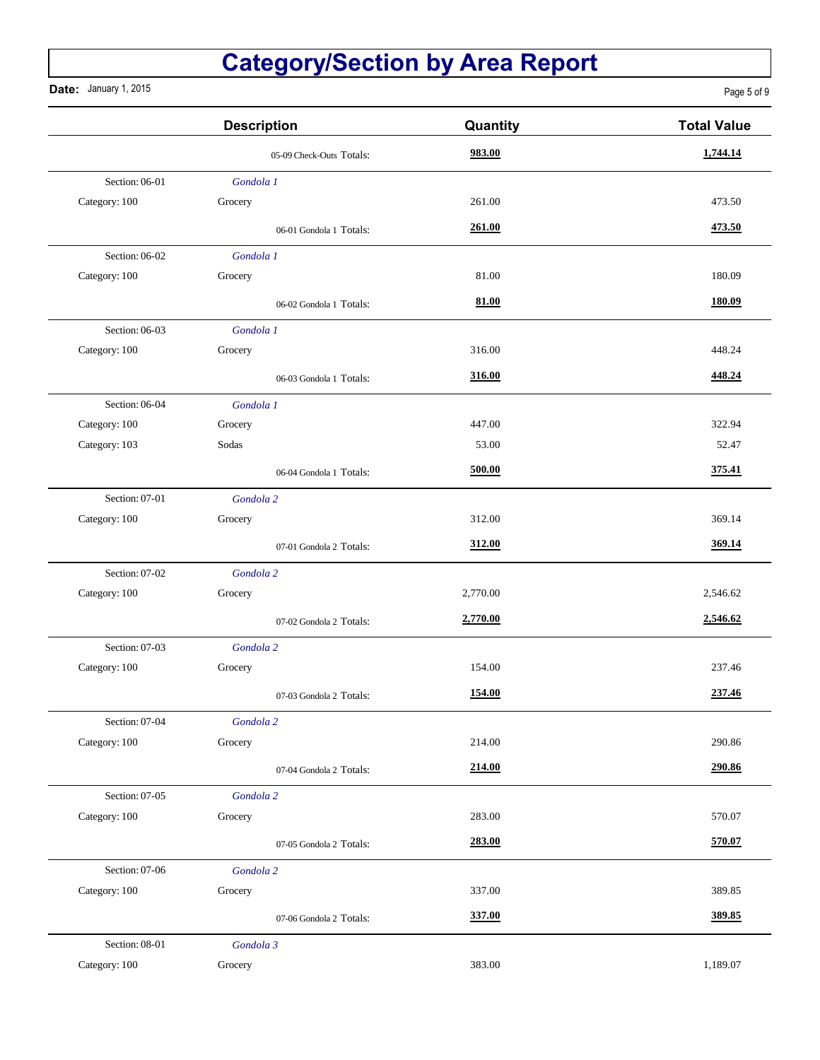**Date:** January 1, 2015

|                | <b>Description</b>       | Quantity | <b>Total Value</b> |
|----------------|--------------------------|----------|--------------------|
|                | 05-09 Check-Outs Totals: | 983.00   | 1,744.14           |
| Section: 06-01 | Gondola 1                |          |                    |
| Category: 100  | Grocery                  | 261.00   | 473.50             |
|                | 06-01 Gondola 1 Totals:  | 261.00   | 473.50             |
| Section: 06-02 | Gondola 1                |          |                    |
| Category: 100  | Grocery                  | 81.00    | 180.09             |
|                | 06-02 Gondola 1 Totals:  | 81.00    | 180.09             |
| Section: 06-03 | Gondola 1                |          |                    |
| Category: 100  | Grocery                  | 316.00   | 448.24             |
|                | 06-03 Gondola 1 Totals:  | 316.00   | 448.24             |
| Section: 06-04 | Gondola 1                |          |                    |
| Category: 100  | Grocery                  | 447.00   | 322.94             |
| Category: 103  | Sodas                    | 53.00    | 52.47              |
|                | 06-04 Gondola 1 Totals:  | 500.00   | 375.41             |
| Section: 07-01 | Gondola 2                |          |                    |
| Category: 100  | Grocery                  | 312.00   | 369.14             |
|                | 07-01 Gondola 2 Totals:  | 312.00   | 369.14             |
| Section: 07-02 | Gondola 2                |          |                    |
| Category: 100  | Grocery                  | 2,770.00 | 2,546.62           |
|                | 07-02 Gondola 2 Totals:  | 2,770.00 | 2,546.62           |
| Section: 07-03 | Gondola 2                |          |                    |
| Category: 100  | Grocery                  | 154.00   | 237.46             |
|                | 07-03 Gondola 2 Totals:  | 154.00   | 237.46             |
| Section: 07-04 | Gondola 2                |          |                    |
| Category: 100  | Grocery                  | 214.00   | 290.86             |
|                | 07-04 Gondola 2 Totals:  | 214.00   | 290.86             |
| Section: 07-05 | Gondola 2                |          |                    |
| Category: 100  | Grocery                  | 283.00   | 570.07             |
|                | 07-05 Gondola 2 Totals:  | 283.00   | 570.07             |
| Section: 07-06 | Gondola 2                |          |                    |
| Category: 100  | Grocery                  | 337.00   | 389.85             |
|                | 07-06 Gondola 2 Totals:  | 337.00   | 389.85             |
| Section: 08-01 | Gondola 3                |          |                    |
| Category: 100  | Grocery                  | 383.00   | 1,189.07           |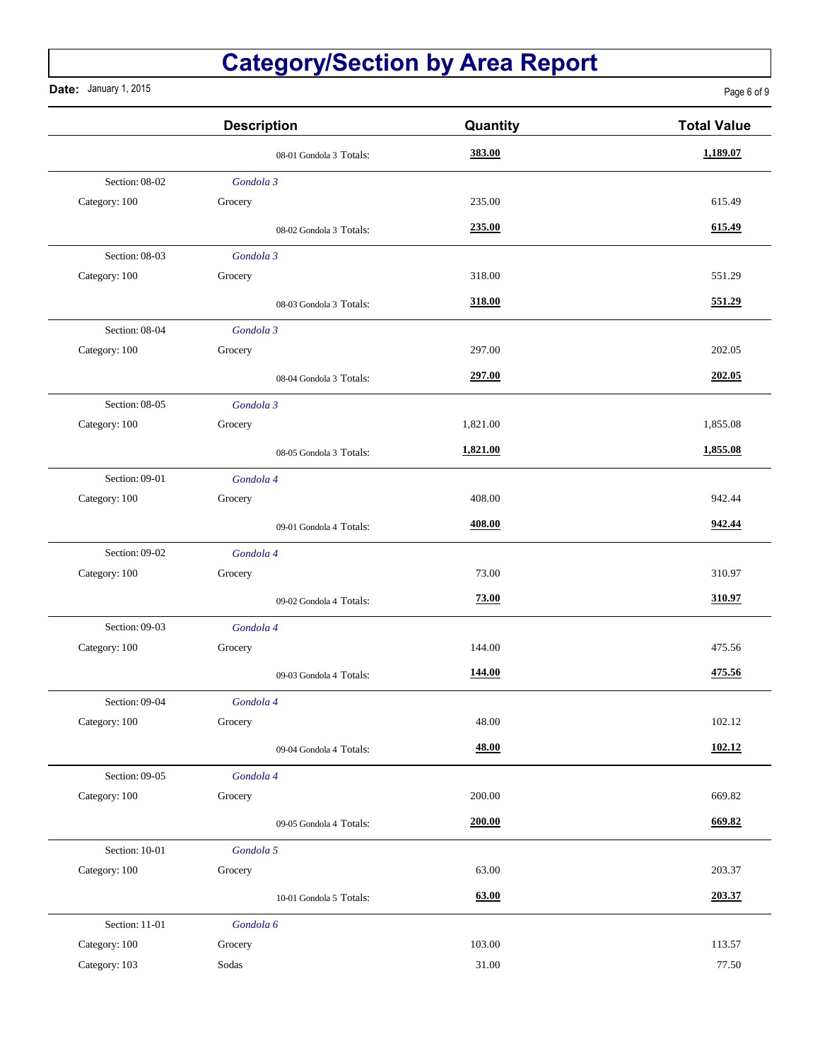**Date:** January 1, 2015

Page 6 of 9

|                | <b>Description</b>      | Quantity | <b>Total Value</b> |
|----------------|-------------------------|----------|--------------------|
|                | 08-01 Gondola 3 Totals: | 383.00   | 1,189.07           |
| Section: 08-02 | Gondola 3               |          |                    |
| Category: 100  | Grocery                 | 235.00   | 615.49             |
|                | 08-02 Gondola 3 Totals: | 235.00   | 615.49             |
| Section: 08-03 | Gondola 3               |          |                    |
| Category: 100  | Grocery                 | 318.00   | 551.29             |
|                | 08-03 Gondola 3 Totals: | 318.00   | 551.29             |
| Section: 08-04 | Gondola 3               |          |                    |
| Category: 100  | Grocery                 | 297.00   | 202.05             |
|                | 08-04 Gondola 3 Totals: | 297.00   | 202.05             |
| Section: 08-05 | Gondola 3               |          |                    |
| Category: 100  | Grocery                 | 1,821.00 | 1,855.08           |
|                | 08-05 Gondola 3 Totals: | 1,821.00 | 1,855.08           |
| Section: 09-01 | Gondola 4               |          |                    |
| Category: 100  | Grocery                 | 408.00   | 942.44             |
|                | 09-01 Gondola 4 Totals: | 408.00   | 942.44             |
| Section: 09-02 | Gondola 4               |          |                    |
| Category: 100  | Grocery                 | 73.00    | 310.97             |
|                | 09-02 Gondola 4 Totals: | 73.00    | 310.97             |
| Section: 09-03 | Gondola 4               |          |                    |
| Category: 100  | Grocery                 | 144.00   | 475.56             |
|                | 09-03 Gondola 4 Totals: | 144.00   | 475.56             |
| Section: 09-04 | Gondola 4               |          |                    |
| Category: 100  | Grocery                 | 48.00    | 102.12             |
|                | 09-04 Gondola 4 Totals: | 48.00    | 102.12             |
| Section: 09-05 | Gondola 4               |          |                    |
| Category: 100  | Grocery                 | 200.00   | 669.82             |
|                | 09-05 Gondola 4 Totals: | 200.00   | 669.82             |
| Section: 10-01 | Gondola 5               |          |                    |
| Category: 100  | Grocery                 | 63.00    | 203.37             |
|                | 10-01 Gondola 5 Totals: | 63.00    | 203.37             |
| Section: 11-01 | Gondola 6               |          |                    |
| Category: 100  | Grocery                 | 103.00   | 113.57             |
| Category: 103  | Sodas                   | 31.00    | 77.50              |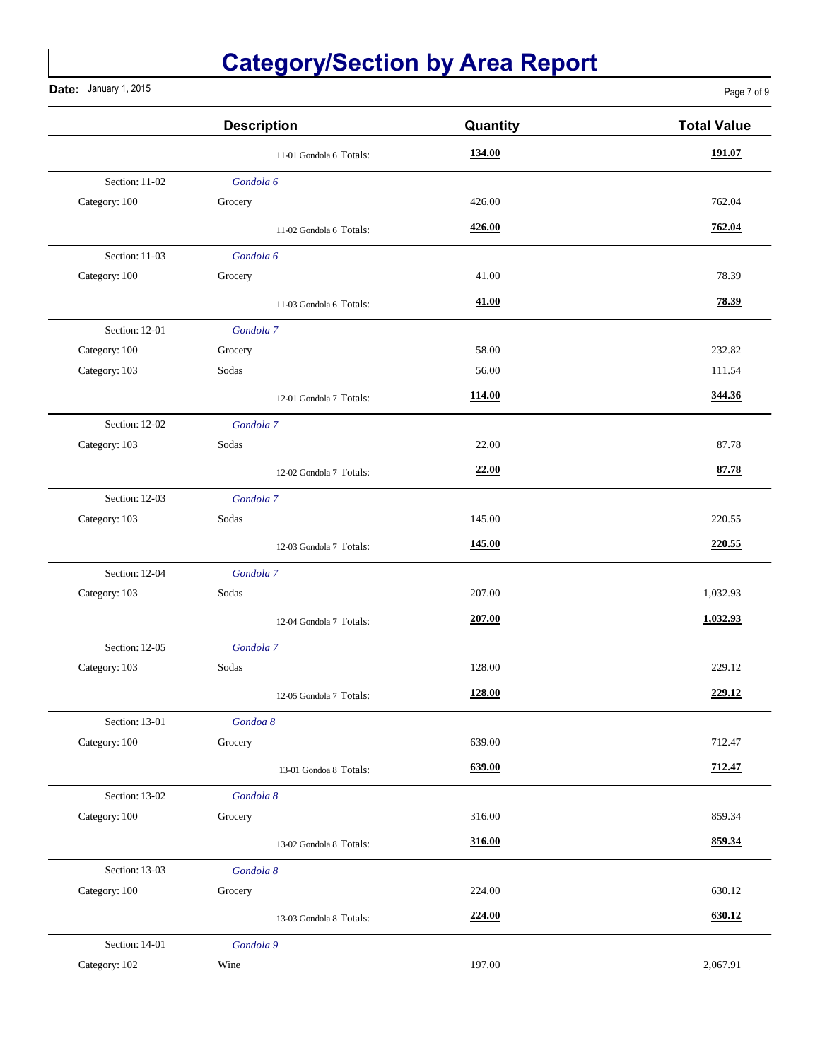**Date:** January 1, 2015

Page 7 of 9

|                | <b>Description</b>      | Quantity | <b>Total Value</b> |
|----------------|-------------------------|----------|--------------------|
|                | 11-01 Gondola 6 Totals: | 134.00   | 191.07             |
| Section: 11-02 | Gondola 6               |          |                    |
| Category: 100  | Grocery                 | 426.00   | 762.04             |
|                | 11-02 Gondola 6 Totals: | 426.00   | 762.04             |
| Section: 11-03 | Gondola 6               |          |                    |
| Category: 100  | Grocery                 | 41.00    | 78.39              |
|                | 11-03 Gondola 6 Totals: | 41.00    | 78.39              |
| Section: 12-01 | Gondola 7               |          |                    |
| Category: 100  | Grocery                 | 58.00    | 232.82             |
| Category: 103  | Sodas                   | 56.00    | 111.54             |
|                | 12-01 Gondola 7 Totals: | 114.00   | 344.36             |
| Section: 12-02 | Gondola 7               |          |                    |
| Category: 103  | Sodas                   | 22.00    | 87.78              |
|                | 12-02 Gondola 7 Totals: | 22.00    | 87.78              |
| Section: 12-03 | Gondola 7               |          |                    |
| Category: 103  | Sodas                   | 145.00   | 220.55             |
|                | 12-03 Gondola 7 Totals: | 145.00   | 220.55             |
| Section: 12-04 | Gondola 7               |          |                    |
| Category: 103  | Sodas                   | 207.00   | 1,032.93           |
|                | 12-04 Gondola 7 Totals: | 207.00   | 1,032.93           |
| Section: 12-05 | Gondola 7               |          |                    |
| Category: 103  | Sodas                   | 128.00   | 229.12             |
|                | 12-05 Gondola 7 Totals: | 128.00   | 229.12             |
| Section: 13-01 | Gondoa 8                |          |                    |
| Category: 100  | Grocery                 | 639.00   | 712.47             |
|                | 13-01 Gondoa 8 Totals:  | 639.00   | 712.47             |
| Section: 13-02 | Gondola 8               |          |                    |
| Category: 100  | Grocery                 | 316.00   | 859.34             |
|                | 13-02 Gondola 8 Totals: | 316.00   | 859.34             |
| Section: 13-03 | Gondola 8               |          |                    |
| Category: 100  | Grocery                 | 224.00   | 630.12             |
|                | 13-03 Gondola 8 Totals: | 224.00   | 630.12             |
| Section: 14-01 | Gondola 9               |          |                    |
| Category: 102  | Wine                    | 197.00   | 2,067.91           |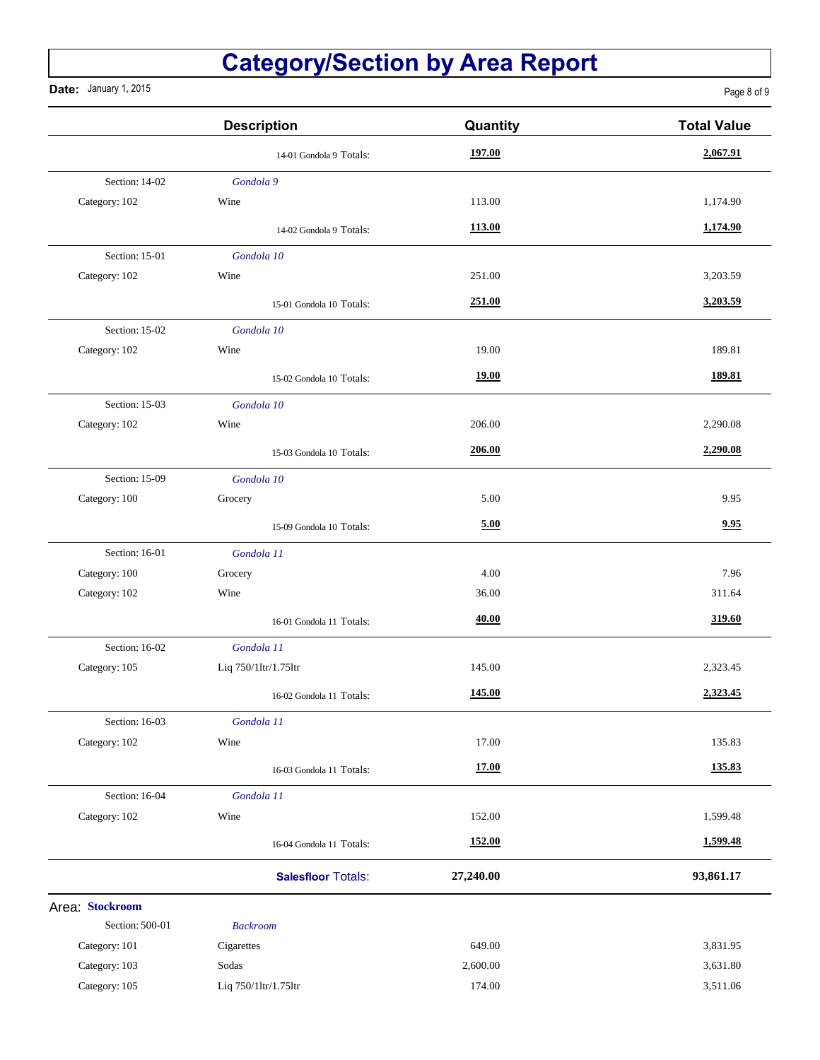**Date:** January 1, 2015

Page 8 of 9

|                 | <b>Description</b>        | Quantity      | <b>Total Value</b> |
|-----------------|---------------------------|---------------|--------------------|
|                 | 14-01 Gondola 9 Totals:   | 197.00        | 2,067.91           |
| Section: 14-02  | Gondola 9                 |               |                    |
| Category: 102   | Wine                      | 113.00        | 1,174.90           |
|                 | 14-02 Gondola 9 Totals:   | 113.00        | 1,174.90           |
| Section: 15-01  | Gondola 10                |               |                    |
| Category: 102   | Wine                      | 251.00        | 3,203.59           |
|                 | 15-01 Gondola 10 Totals:  | 251.00        | 3,203.59           |
| Section: 15-02  | Gondola 10                |               |                    |
| Category: 102   | Wine                      | 19.00         | 189.81             |
|                 | 15-02 Gondola 10 Totals:  | 19.00         | 189.81             |
| Section: 15-03  | Gondola 10                |               |                    |
| Category: 102   | Wine                      | 206.00        | 2,290.08           |
|                 | 15-03 Gondola 10 Totals:  | 206.00        | 2,290.08           |
| Section: 15-09  | Gondola 10                |               |                    |
| Category: 100   | Grocery                   | 5.00          | 9.95               |
|                 | 15-09 Gondola 10 Totals:  | 5.00          | 9.95               |
| Section: 16-01  | Gondola 11                |               |                    |
| Category: 100   | Grocery                   | 4.00          | 7.96               |
| Category: 102   | Wine                      | 36.00         | 311.64             |
|                 | 16-01 Gondola 11 Totals:  | 40.00         | 319.60             |
| Section: 16-02  | Gondola 11                |               |                    |
| Category: 105   | Liq 750/1ltr/1.75ltr      | 145.00        | 2,323.45           |
|                 | 16-02 Gondola 11 Totals:  | 145.00        | 2,323.45           |
| Section: 16-03  | Gondola 11                |               |                    |
| Category: 102   | Wine                      | 17.00         | 135.83             |
|                 | 16-03 Gondola 11 Totals:  | 17.00         | 135.83             |
| Section: 16-04  | Gondola 11                |               |                    |
| Category: 102   | Wine                      | 152.00        | 1,599.48           |
|                 | 16-04 Gondola 11 Totals:  | <b>152.00</b> | 1,599.48           |
|                 | <b>Salesfloor Totals:</b> | 27,240.00     | 93,861.17          |
| Area: Stockroom |                           |               |                    |
| Section: 500-01 | <b>Backroom</b>           |               |                    |
| Category: 101   | Cigarettes                | 649.00        | 3,831.95           |
| Category: 103   | Sodas                     | 2,600.00      | 3,631.80           |
| Category: 105   | Liq 750/1ltr/1.75ltr      | 174.00        | 3,511.06           |